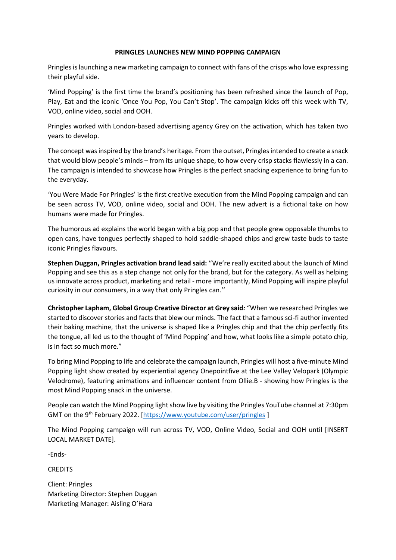## **PRINGLES LAUNCHES NEW MIND POPPING CAMPAIGN**

Pringles is launching a new marketing campaign to connect with fans of the crisps who love expressing their playful side.

'Mind Popping' is the first time the brand's positioning has been refreshed since the launch of Pop, Play, Eat and the iconic 'Once You Pop, You Can't Stop'. The campaign kicks off this week with TV, VOD, online video, social and OOH.

Pringles worked with London-based advertising agency Grey on the activation, which has taken two years to develop.

The concept was inspired by the brand's heritage. From the outset, Pringles intended to create a snack that would blow people's minds – from its unique shape, to how every crisp stacks flawlessly in a can. The campaign is intended to showcase how Pringles is the perfect snacking experience to bring fun to the everyday.

'You Were Made For Pringles' is the first creative execution from the Mind Popping campaign and can be seen across TV, VOD, online video, social and OOH. The new advert is a fictional take on how humans were made for Pringles.

The humorous ad explains the world began with a big pop and that people grew opposable thumbs to open cans, have tongues perfectly shaped to hold saddle-shaped chips and grew taste buds to taste iconic Pringles flavours.

**Stephen Duggan, Pringles activation brand lead said:** ''We're really excited about the launch of Mind Popping and see this as a step change not only for the brand, but for the category. As well as helping us innovate across product, marketing and retail - more importantly, Mind Popping will inspire playful curiosity in our consumers, in a way that only Pringles can.''

**Christopher Lapham, Global Group Creative Director at Grey said***:* "When we researched Pringles we started to discover stories and facts that blew our minds. The fact that a famous sci-fi author invented their baking machine, that the universe is shaped like a Pringles chip and that the chip perfectly fits the tongue, all led us to the thought of 'Mind Popping' and how, what looks like a simple potato chip, is in fact so much more."

To bring Mind Popping to life and celebrate the campaign launch, Pringles will host a five-minute Mind Popping light show created by experiential agency Onepointfive at the Lee Valley Velopark (Olympic Velodrome), featuring animations and influencer content from Ollie.B - showing how Pringles is the most Mind Popping snack in the universe.

People can watch the Mind Popping light show live by visiting the Pringles YouTube channel at 7:30pm GMT on the 9<sup>th</sup> February 2022. [\[https://www.youtube.com/user/pringles](https://www.youtube.com/user/pringles)]

The Mind Popping campaign will run across TV, VOD, Online Video, Social and OOH until [INSERT LOCAL MARKET DATE].

-Ends-

**CREDITS** 

Client: Pringles Marketing Director: Stephen Duggan Marketing Manager: Aisling O'Hara